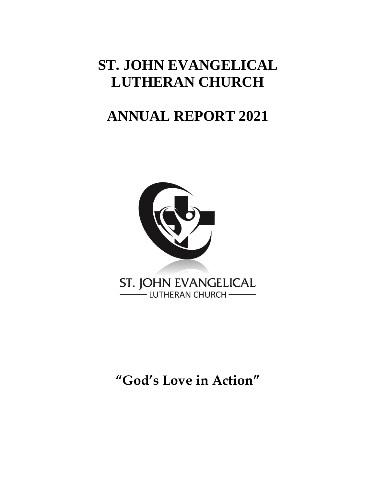# **ST. JOHN EVANGELICAL LUTHERAN CHURCH**

# **ANNUAL REPORT 2021**



# **"God's Love in Action"**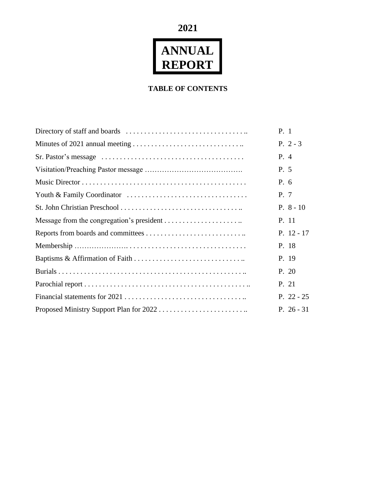**2021**

# **ANNUAL REPORT**

### **TABLE OF CONTENTS**

| P. 1         |
|--------------|
| P. $2 - 3$   |
| P. 4         |
| P. 5         |
| P. 6         |
| P. 7         |
| $P. 8 - 10$  |
| P. 11        |
| P. $12 - 17$ |
| P. 18        |
| P. 19        |
| P. 20        |
| P. 21        |
| P. $22 - 25$ |
| P. $26 - 31$ |
|              |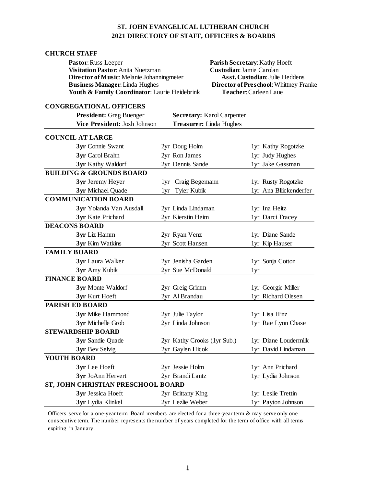#### **ST. JOHN EVANGELICAL LUTHERAN CHURCH 2021 DIRECTORY OF STAFF, OFFICERS & BOARDS**

#### **CHURCH STAFF**

| Pastor: Russ Leeper                          |
|----------------------------------------------|
| <b>Visitation Pastor:</b> Anita Nuetzman     |
| Director of Music: Melanie Johanningmeier    |
| <b>Business Manager:</b> Linda Hughes        |
| Youth & Family Coordinator: Laurie Heidebrin |
|                                              |

Parish Secretary: Kathy Hoeft **Visitation Pastor**: Anita Nuetzman **Custodian**: Jamie Carolan **Asst. Custodian: Julie Heddens Director of Preschool: Whittney Franke K Teacher:** Carleen Laue

#### **CONGREGATIONAL OFFICERS**

| <b>President:</b> Greg Buenger      |     | Secretary: Karol Carpenter  |                        |
|-------------------------------------|-----|-----------------------------|------------------------|
| Vice President: Josh Johnson        |     | Treasurer: Linda Hughes     |                        |
| <b>COUNCIL AT LARGE</b>             |     |                             |                        |
| 3yr Connie Swant                    |     | 2yr Doug Holm               | 1yr Kathy Rogotzke     |
| 3yr Carol Brahn                     |     | 2yr Ron James               | 1yr Judy Hughes        |
| 3yr Kathy Waldorf                   |     | 2yr Dennis Sande            | 1yr Jake Gassman       |
| <b>BUILDING &amp; GROUNDS BOARD</b> |     |                             |                        |
| 3yr Jeremy Heyer                    |     | 1yr Craig Begemann          | 1yr Rusty Rogotzke     |
| 3yr Michael Quade                   | 1yr | Tyler Kubik                 | 1yr Ana Bllickenderfer |
| <b>COMMUNICATION BOARD</b>          |     |                             |                        |
| 3yr Yolanda Van Ausdall             |     | 2yr Linda Lindaman          | 1yr Ina Heitz          |
| 3yr Kate Prichard                   |     | 2yr Kierstin Heim           | 1yr Darci Tracey       |
| <b>DEACONS BOARD</b>                |     |                             |                        |
| 3yr Liz Hamm                        |     | 2yr Ryan Venz               | 1yr Diane Sande        |
| 3yr Kim Watkins                     |     | 2yr Scott Hansen            | 1yr Kip Hauser         |
| <b>FAMILY BOARD</b>                 |     |                             |                        |
| 3yr Laura Walker                    |     | 2yr Jenisha Garden          | 1yr Sonja Cotton       |
| 3yr Amy Kubik                       |     | 2yr Sue McDonald            | 1yr                    |
| <b>FINANCE BOARD</b>                |     |                             |                        |
| 3yr Monte Waldorf                   |     | 2yr Greig Grimm             | 1yr Georgie Miller     |
| 3yr Kurt Hoeft                      |     | 2yr Al Brandau              | 1yr Richard Olesen     |
| <b>PARISH ED BOARD</b>              |     |                             |                        |
| 3yr Mike Hammond                    |     | 2yr Julie Taylor            | 1yr Lisa Hinz          |
| 3yr Michelle Grob                   |     | 2yr Linda Johnson           | 1yr Rae Lynn Chase     |
| <b>STEWARDSHIP BOARD</b>            |     |                             |                        |
| 3yr Sandie Quade                    |     | 2yr Kathy Crooks (1yr Sub.) | 1yr Diane Loudermilk   |
| 3yr Bev Selvig                      |     | 2yr Gaylen Hicok            | 1yr David Lindaman     |
| YOUTH BOARD                         |     |                             |                        |
| 3yr Lee Hoeft                       |     | 2yr Jessie Holm             | 1yr Ann Prichard       |
| 3yr JoAnn Hervert                   |     | 2yr Brandi Lantz            | 1yr Lydia Johnson      |
| ST, JOHN CHRISTIAN PRESCHOOL BOARD  |     |                             |                        |
| 3yr Jessica Hoeft                   |     | 2yr Brittany King           | 1yr Leslie Trettin     |
| 3yr Lydia Klinkel                   |     | 2yr Lezlie Weber            | 1yr Payton Johnson     |

Officers serve for a one-year term. Board members are elected for a three-year term & may serve only one consecutive term. The number represents the number of years completed for the term of office with all terms expiring in January.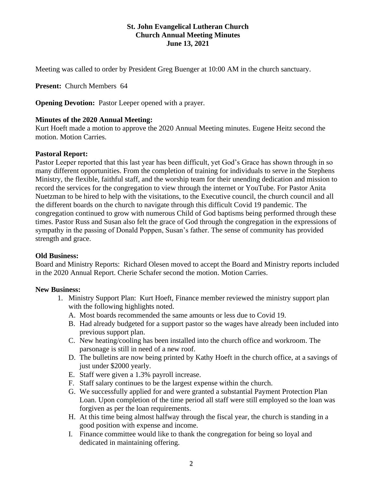#### **St. John Evangelical Lutheran Church Church Annual Meeting Minutes June 13, 2021**

Meeting was called to order by President Greg Buenger at 10:00 AM in the church sanctuary.

**Present:** Church Members 64

**Opening Devotion:** Pastor Leeper opened with a prayer.

#### **Minutes of the 2020 Annual Meeting:**

Kurt Hoeft made a motion to approve the 2020 Annual Meeting minutes. Eugene Heitz second the motion. Motion Carries.

#### **Pastoral Report:**

Pastor Leeper reported that this last year has been difficult, yet God's Grace has shown through in so many different opportunities. From the completion of training for individuals to serve in the Stephens Ministry, the flexible, faithful staff, and the worship team for their unending dedication and mission to record the services for the congregation to view through the internet or YouTube. For Pastor Anita Nuetzman to be hired to help with the visitations, to the Executive council, the church council and all the different boards on the church to navigate through this difficult Covid 19 pandemic. The congregation continued to grow with numerous Child of God baptisms being performed through these times. Pastor Russ and Susan also felt the grace of God through the congregation in the expressions of sympathy in the passing of Donald Poppen, Susan's father. The sense of community has provided strength and grace.

#### **Old Business:**

Board and Ministry Reports: Richard Olesen moved to accept the Board and Ministry reports included in the 2020 Annual Report. Cherie Schafer second the motion. Motion Carries.

#### **New Business:**

- 1. Ministry Support Plan: Kurt Hoeft, Finance member reviewed the ministry support plan with the following highlights noted.
	- A. Most boards recommended the same amounts or less due to Covid 19.
	- B. Had already budgeted for a support pastor so the wages have already been included into previous support plan.
	- C. New heating/cooling has been installed into the church office and workroom. The parsonage is still in need of a new roof.
	- D. The bulletins are now being printed by Kathy Hoeft in the church office, at a savings of just under \$2000 yearly.
	- E. Staff were given a 1.3% payroll increase.
	- F. Staff salary continues to be the largest expense within the church.
	- G. We successfully applied for and were granted a substantial Payment Protection Plan Loan. Upon completion of the time period all staff were still employed so the loan was forgiven as per the loan requirements.
	- H. At this time being almost halfway through the fiscal year, the church is standing in a good position with expense and income.
	- I. Finance committee would like to thank the congregation for being so loyal and dedicated in maintaining offering.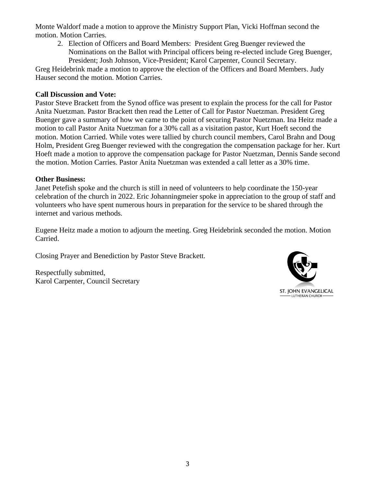Monte Waldorf made a motion to approve the Ministry Support Plan, Vicki Hoffman second the motion. Motion Carries.

2. Election of Officers and Board Members: President Greg Buenger reviewed the Nominations on the Ballot with Principal officers being re-elected include Greg Buenger, President; Josh Johnson, Vice-President; Karol Carpenter, Council Secretary.

Greg Heidebrink made a motion to approve the election of the Officers and Board Members. Judy Hauser second the motion. Motion Carries.

#### **Call Discussion and Vote:**

Pastor Steve Brackett from the Synod office was present to explain the process for the call for Pastor Anita Nuetzman. Pastor Brackett then read the Letter of Call for Pastor Nuetzman. President Greg Buenger gave a summary of how we came to the point of securing Pastor Nuetzman. Ina Heitz made a motion to call Pastor Anita Nuetzman for a 30% call as a visitation pastor, Kurt Hoeft second the motion. Motion Carried. While votes were tallied by church council members, Carol Brahn and Doug Holm, President Greg Buenger reviewed with the congregation the compensation package for her. Kurt Hoeft made a motion to approve the compensation package for Pastor Nuetzman, Dennis Sande second the motion. Motion Carries. Pastor Anita Nuetzman was extended a call letter as a 30% time.

#### **Other Business:**

Janet Petefish spoke and the church is still in need of volunteers to help coordinate the 150-year celebration of the church in 2022. Eric Johanningmeier spoke in appreciation to the group of staff and volunteers who have spent numerous hours in preparation for the service to be shared through the internet and various methods.

Eugene Heitz made a motion to adjourn the meeting. Greg Heidebrink seconded the motion. Motion Carried.

Closing Prayer and Benediction by Pastor Steve Brackett.

Respectfully submitted, Karol Carpenter, Council Secretary

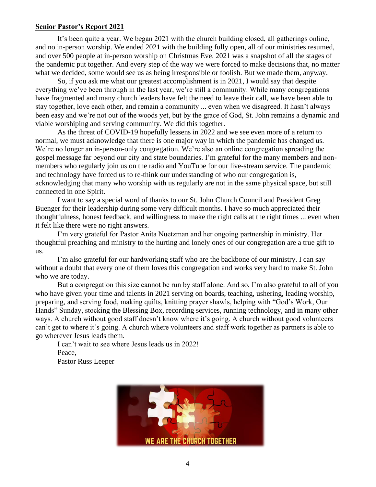#### **Senior Pastor's Report 2021**

It's been quite a year. We began 2021 with the church building closed, all gatherings online, and no in-person worship. We ended 2021 with the building fully open, all of our ministries resumed, and over 500 people at in-person worship on Christmas Eve. 2021 was a snapshot of all the stages of the pandemic put together. And every step of the way we were forced to make decisions that, no matter what we decided, some would see us as being irresponsible or foolish. But we made them, anyway.

So, if you ask me what our greatest accomplishment is in 2021, I would say that despite everything we've been through in the last year, we're still a community. While many congregations have fragmented and many church leaders have felt the need to leave their call, we have been able to stay together, love each other, and remain a community ... even when we disagreed. It hasn't always been easy and we're not out of the woods yet, but by the grace of God, St. John remains a dynamic and viable worshiping and serving community. We did this together.

As the threat of COVID-19 hopefully lessens in 2022 and we see even more of a return to normal, we must acknowledge that there is one major way in which the pandemic has changed us. We're no longer an in-person-only congregation. We're also an online congregation spreading the gospel message far beyond our city and state boundaries. I'm grateful for the many members and nonmembers who regularly join us on the radio and YouTube for our live-stream service. The pandemic and technology have forced us to re-think our understanding of who our congregation is, acknowledging that many who worship with us regularly are not in the same physical space, but still connected in one Spirit.

I want to say a special word of thanks to our St. John Church Council and President Greg Buenger for their leadership during some very difficult months. I have so much appreciated their thoughtfulness, honest feedback, and willingness to make the right calls at the right times ... even when it felt like there were no right answers.

I'm very grateful for Pastor Anita Nuetzman and her ongoing partnership in ministry. Her thoughtful preaching and ministry to the hurting and lonely ones of our congregation are a true gift to us.

I'm also grateful for our hardworking staff who are the backbone of our ministry. I can say without a doubt that every one of them loves this congregation and works very hard to make St. John who we are today.

But a congregation this size cannot be run by staff alone. And so, I'm also grateful to all of you who have given your time and talents in 2021 serving on boards, teaching, ushering, leading worship, preparing, and serving food, making quilts, knitting prayer shawls, helping with "God's Work, Our Hands" Sunday, stocking the Blessing Box, recording services, running technology, and in many other ways. A church without good staff doesn't know where it's going. A church without good volunteers can't get to where it's going. A church where volunteers and staff work together as partners is able to go wherever Jesus leads them.

I can't wait to see where Jesus leads us in 2022! Peace, Pastor Russ Leeper

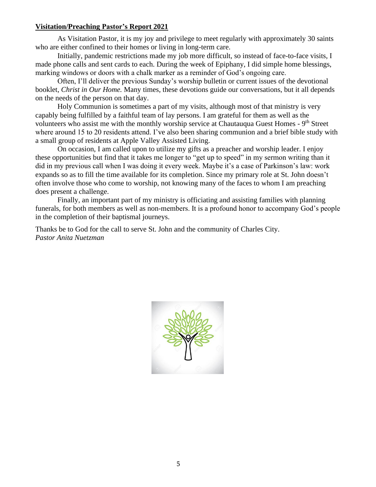#### **Visitation/Preaching Pastor's Report 2021**

As Visitation Pastor, it is my joy and privilege to meet regularly with approximately 30 saints who are either confined to their homes or living in long-term care.

Initially, pandemic restrictions made my job more difficult, so instead of face-to-face visits, I made phone calls and sent cards to each. During the week of Epiphany, I did simple home blessings, marking windows or doors with a chalk marker as a reminder of God's ongoing care.

Often, I'll deliver the previous Sunday's worship bulletin or current issues of the devotional booklet, *Christ in Our Home.* Many times, these devotions guide our conversations, but it all depends on the needs of the person on that day.

Holy Communion is sometimes a part of my visits, although most of that ministry is very capably being fulfilled by a faithful team of lay persons. I am grateful for them as well as the volunteers who assist me with the monthly worship service at Chautauqua Guest Homes - 9<sup>th</sup> Street where around 15 to 20 residents attend. I've also been sharing communion and a brief bible study with a small group of residents at Apple Valley Assisted Living.

On occasion, I am called upon to utilize my gifts as a preacher and worship leader. I enjoy these opportunities but find that it takes me longer to "get up to speed" in my sermon writing than it did in my previous call when I was doing it every week. Maybe it's a case of Parkinson's law: work expands so as to fill the time available for its completion. Since my primary role at St. John doesn't often involve those who come to worship, not knowing many of the faces to whom I am preaching does present a challenge.

Finally, an important part of my ministry is officiating and assisting families with planning funerals, for both members as well as non-members. It is a profound honor to accompany God's people in the completion of their baptismal journeys.

Thanks be to God for the call to serve St. John and the community of Charles City. *Pastor Anita Nuetzman* 

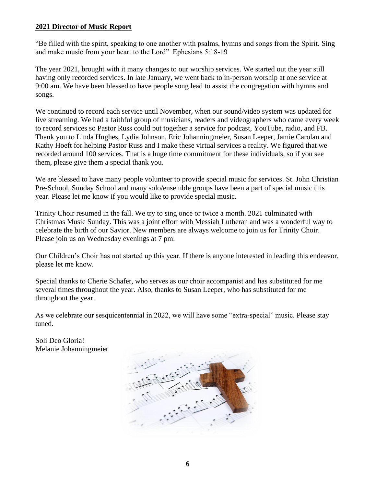#### **2021 Director of Music Report**

"Be filled with the spirit, speaking to one another with psalms, hymns and songs from the Spirit. Sing and make music from your heart to the Lord" Ephesians 5:18-19

The year 2021, brought with it many changes to our worship services. We started out the year still having only recorded services. In late January, we went back to in-person worship at one service at 9:00 am. We have been blessed to have people song lead to assist the congregation with hymns and songs.

We continued to record each service until November, when our sound/video system was updated for live streaming. We had a faithful group of musicians, readers and videographers who came every week to record services so Pastor Russ could put together a service for podcast, YouTube, radio, and FB. Thank you to Linda Hughes, Lydia Johnson, Eric Johanningmeier, Susan Leeper, Jamie Carolan and Kathy Hoeft for helping Pastor Russ and I make these virtual services a reality. We figured that we recorded around 100 services. That is a huge time commitment for these individuals, so if you see them, please give them a special thank you.

We are blessed to have many people volunteer to provide special music for services. St. John Christian Pre-School, Sunday School and many solo/ensemble groups have been a part of special music this year. Please let me know if you would like to provide special music.

Trinity Choir resumed in the fall. We try to sing once or twice a month. 2021 culminated with Christmas Music Sunday. This was a joint effort with Messiah Lutheran and was a wonderful way to celebrate the birth of our Savior. New members are always welcome to join us for Trinity Choir. Please join us on Wednesday evenings at 7 pm.

Our Children's Choir has not started up this year. If there is anyone interested in leading this endeavor, please let me know.

Special thanks to Cherie Schafer, who serves as our choir accompanist and has substituted for me several times throughout the year. Also, thanks to Susan Leeper, who has substituted for me throughout the year.

As we celebrate our sesquicentennial in 2022, we will have some "extra-special" music. Please stay tuned.

Soli Deo Gloria! Melanie Johanningmeier

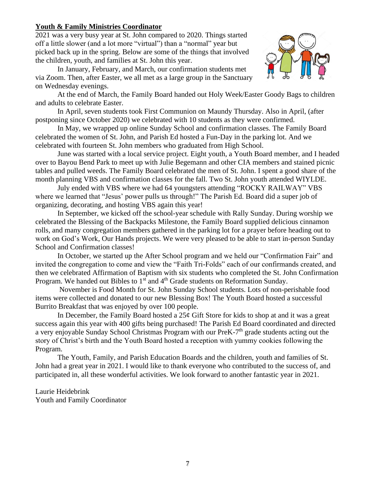#### **Youth & Family Ministries Coordinator**

2021 was a very busy year at St. John compared to 2020. Things started off a little slower (and a lot more "virtual") than a "normal" year but picked back up in the spring. Below are some of the things that involved the children, youth, and families at St. John this year.

In January, February, and March, our confirmation students met via Zoom. Then, after Easter, we all met as a large group in the Sanctuary on Wednesday evenings.



At the end of March, the Family Board handed out Holy Week/Easter Goody Bags to children and adults to celebrate Easter.

In April, seven students took First Communion on Maundy Thursday. Also in April, (after postponing since October 2020) we celebrated with 10 students as they were confirmed.

In May, we wrapped up online Sunday School and confirmation classes. The Family Board celebrated the women of St. John, and Parish Ed hosted a Fun-Day in the parking lot. And we celebrated with fourteen St. John members who graduated from High School.

June was started with a local service project. Eight youth, a Youth Board member, and I headed over to Bayou Bend Park to meet up with Julie Begemann and other CIA members and stained picnic tables and pulled weeds. The Family Board celebrated the men of St. John. I spent a good share of the month planning VBS and confirmation classes for the fall. Two St. John youth attended WIYLDE.

July ended with VBS where we had 64 youngsters attending "ROCKY RAILWAY" VBS where we learned that "Jesus' power pulls us through!" The Parish Ed. Board did a super job of organizing, decorating, and hosting VBS again this year!

In September, we kicked off the school-year schedule with Rally Sunday. During worship we celebrated the Blessing of the Backpacks Milestone, the Family Board supplied delicious cinnamon rolls, and many congregation members gathered in the parking lot for a prayer before heading out to work on God's Work, Our Hands projects. We were very pleased to be able to start in-person Sunday School and Confirmation classes!

In October, we started up the After School program and we held our "Confirmation Fair" and invited the congregation to come and view the "Faith Tri-Folds" each of our confirmands created, and then we celebrated Affirmation of Baptism with six students who completed the St. John Confirmation Program. We handed out Bibles to  $1<sup>st</sup>$  and  $4<sup>th</sup>$  Grade students on Reformation Sunday.

November is Food Month for St. John Sunday School students. Lots of non-perishable food items were collected and donated to our new Blessing Box! The Youth Board hosted a successful Burrito Breakfast that was enjoyed by over 100 people.

In December, the Family Board hosted a  $25¢$  Gift Store for kids to shop at and it was a great success again this year with 400 gifts being purchased! The Parish Ed Board coordinated and directed a very enjoyable Sunday School Christmas Program with our PreK-7<sup>th</sup> grade students acting out the story of Christ's birth and the Youth Board hosted a reception with yummy cookies following the Program.

The Youth, Family, and Parish Education Boards and the children, youth and families of St. John had a great year in 2021. I would like to thank everyone who contributed to the success of, and participated in, all these wonderful activities. We look forward to another fantastic year in 2021.

Laurie Heidebrink Youth and Family Coordinator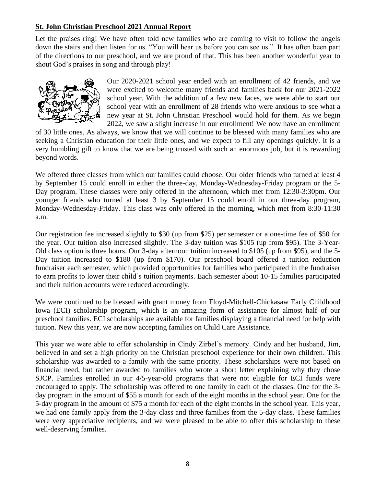#### **St. John Christian Preschool 2021 Annual Report**

Let the praises ring! We have often told new families who are coming to visit to follow the angels down the stairs and then listen for us. "You will hear us before you can see us." It has often been part of the directions to our preschool, and we are proud of that. This has been another wonderful year to shout God's praises in song and through play!



Our 2020-2021 school year ended with an enrollment of 42 friends, and we were excited to welcome many friends and families back for our 2021-2022 school year. With the addition of a few new faces, we were able to start our school year with an enrollment of 28 friends who were anxious to see what a new year at St. John Christian Preschool would hold for them. As we begin 2022, we saw a slight increase in our enrollment! We now have an enrollment

of 30 little ones. As always, we know that we will continue to be blessed with many families who are seeking a Christian education for their little ones, and we expect to fill any openings quickly. It is a very humbling gift to know that we are being trusted with such an enormous job, but it is rewarding beyond words.

We offered three classes from which our families could choose. Our older friends who turned at least 4 by September 15 could enroll in either the three-day, Monday-Wednesday-Friday program or the 5- Day program. These classes were only offered in the afternoon, which met from 12:30-3:30pm. Our younger friends who turned at least 3 by September 15 could enroll in our three-day program, Monday-Wednesday-Friday. This class was only offered in the morning, which met from 8:30-11:30 a.m.

Our registration fee increased slightly to \$30 (up from \$25) per semester or a one-time fee of \$50 for the year. Our tuition also increased slightly. The 3-day tuition was \$105 (up from \$95). The 3-Year-Old class option is three hours. Our 3-day afternoon tuition increased to \$105 (up from \$95), and the 5- Day tuition increased to \$180 (up from \$170). Our preschool board offered a tuition reduction fundraiser each semester, which provided opportunities for families who participated in the fundraiser to earn profits to lower their child's tuition payments. Each semester about 10-15 families participated and their tuition accounts were reduced accordingly.

We were continued to be blessed with grant money from Floyd-Mitchell-Chickasaw Early Childhood Iowa (ECI) scholarship program, which is an amazing form of assistance for almost half of our preschool families. ECI scholarships are available for families displaying a financial need for help with tuition. New this year, we are now accepting families on Child Care Assistance.

This year we were able to offer scholarship in Cindy Zirbel's memory. Cindy and her husband, Jim, believed in and set a high priority on the Christian preschool experience for their own children. This scholarship was awarded to a family with the same priority. These scholarships were not based on financial need, but rather awarded to families who wrote a short letter explaining why they chose SJCP. Families enrolled in our 4/5-year-old programs that were not eligible for ECI funds were encouraged to apply. The scholarship was offered to one family in each of the classes. One for the 3 day program in the amount of \$55 a month for each of the eight months in the school year. One for the 5-day program in the amount of \$75 a month for each of the eight months in the school year. This year, we had one family apply from the 3-day class and three families from the 5-day class. These families were very appreciative recipients, and we were pleased to be able to offer this scholarship to these well-deserving families.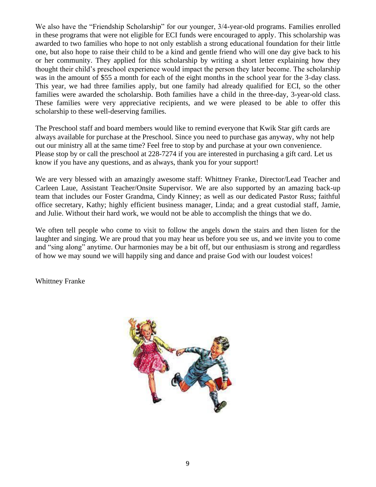We also have the "Friendship Scholarship" for our younger, 3/4-year-old programs. Families enrolled in these programs that were not eligible for ECI funds were encouraged to apply. This scholarship was awarded to two families who hope to not only establish a strong educational foundation for their little one, but also hope to raise their child to be a kind and gentle friend who will one day give back to his or her community. They applied for this scholarship by writing a short letter explaining how they thought their child's preschool experience would impact the person they later become. The scholarship was in the amount of \$55 a month for each of the eight months in the school year for the 3-day class. This year, we had three families apply, but one family had already qualified for ECI, so the other families were awarded the scholarship. Both families have a child in the three-day, 3-year-old class. These families were very appreciative recipients, and we were pleased to be able to offer this scholarship to these well-deserving families.

The Preschool staff and board members would like to remind everyone that Kwik Star gift cards are always available for purchase at the Preschool. Since you need to purchase gas anyway, why not help out our ministry all at the same time? Feel free to stop by and purchase at your own convenience. Please stop by or call the preschool at 228-7274 if you are interested in purchasing a gift card. Let us know if you have any questions, and as always, thank you for your support!

We are very blessed with an amazingly awesome staff: Whittney Franke, Director/Lead Teacher and Carleen Laue, Assistant Teacher/Onsite Supervisor. We are also supported by an amazing back-up team that includes our Foster Grandma, Cindy Kinney; as well as our dedicated Pastor Russ; faithful office secretary, Kathy; highly efficient business manager, Linda; and a great custodial staff, Jamie, and Julie. Without their hard work, we would not be able to accomplish the things that we do.

We often tell people who come to visit to follow the angels down the stairs and then listen for the laughter and singing. We are proud that you may hear us before you see us, and we invite you to come and "sing along" anytime. Our harmonies may be a bit off, but our enthusiasm is strong and regardless of how we may sound we will happily sing and dance and praise God with our loudest voices!

Whittney Franke

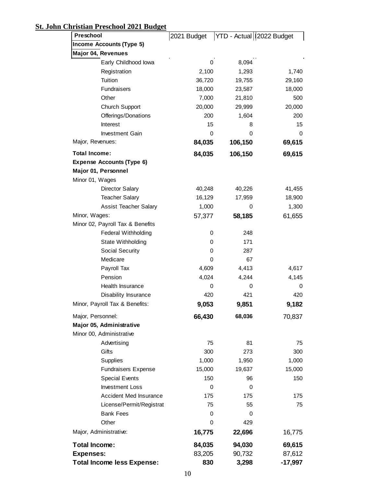# **St. John Christian Preschool 2021 Budget**

| Preschool                         | 2021 Budget |         | YTD - Actual   2022 Budget |
|-----------------------------------|-------------|---------|----------------------------|
| <b>Income Accounts (Type 5)</b>   |             |         |                            |
| Major 04, Revenues                |             |         |                            |
| Early Childhood lowa              | 0           | 8,094   |                            |
| Registration                      | 2,100       | 1,293   | 1,740                      |
| Tuition                           | 36,720      | 19,755  | 29,160                     |
| Fundraisers                       | 18,000      | 23,587  | 18,000                     |
| Other                             | 7,000       | 21,810  | 500                        |
| Church Support                    | 20,000      | 29,999  | 20,000                     |
| Offerings/Donations               | 200         | 1,604   | 200                        |
| Interest                          | 15          | 8       | 15                         |
| <b>Investment Gain</b>            | 0           | 0       | 0                          |
| Major, Revenues:                  | 84,035      | 106,150 | 69,615                     |
| <b>Total Income:</b>              | 84,035      | 106,150 | 69,615                     |
| <b>Expense Accounts (Type 6)</b>  |             |         |                            |
| Major 01, Personnel               |             |         |                            |
| Minor 01, Wages                   |             |         |                            |
| <b>Director Salary</b>            | 40,248      | 40,226  | 41,455                     |
| <b>Teacher Salary</b>             | 16,129      | 17,959  | 18,900                     |
| <b>Assist Teacher Salary</b>      | 1,000       | 0       | 1,300                      |
| Minor, Wages:                     | 57,377      | 58,185  | 61,655                     |
| Minor 02, Payroll Tax & Benefits  |             |         |                            |
| <b>Federal Withholding</b>        | 0           | 248     |                            |
| State Withholding                 | 0           | 171     |                            |
| Social Security                   | 0           | 287     |                            |
| Medicare                          | 0           | 67      |                            |
| Payroll Tax                       | 4,609       | 4,413   | 4,617                      |
| Pension                           | 4,024       | 4,244   | 4,145                      |
| Health Insurance                  | 0           | 0       | 0                          |
| Disability Insurance              | 420         | 421     | 420                        |
| Minor, Payroll Tax & Benefits:    | 9,053       | 9,851   | 9,182                      |
| Major, Personnel:                 | 66,430      | 68,036  | 70,837                     |
| Major 05, Administrative          |             |         |                            |
| Minor 00, Administrative          |             |         |                            |
| Advertising                       | 75          | 81      | 75                         |
| Gifts                             | 300         | 273     | 300                        |
| Supplies                          | 1,000       | 1,950   | 1,000                      |
| <b>Fundraisers Expense</b>        | 15,000      | 19,637  | 15,000                     |
| <b>Special Events</b>             | 150         | 96      | 150                        |
| <b>Investment Loss</b>            | 0           | 0       |                            |
| Accident Med Insurance            | 175         | 175     | 175                        |
| License/Permit/Registrat          | 75          | 55      | 75                         |
| <b>Bank Fees</b>                  | 0           | 0       |                            |
| Other                             | 0           | 429     |                            |
| Major, Administrative:            | 16,775      | 22,696  | 16,775                     |
| <b>Total Income:</b>              | 84,035      | 94,030  | 69,615                     |
| <b>Expenses:</b>                  | 83,205      | 90,732  | 87,612                     |
| <b>Total Income less Expense:</b> | 830         | 3,298   | $-17,997$                  |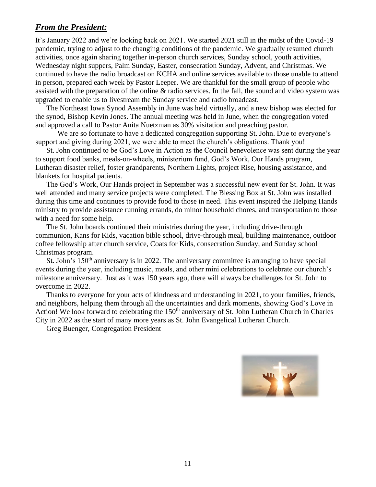## *From the President:*

It's January 2022 and we're looking back on 2021. We started 2021 still in the midst of the Covid-19 pandemic, trying to adjust to the changing conditions of the pandemic. We gradually resumed church activities, once again sharing together in-person church services, Sunday school, youth activities, Wednesday night suppers, Palm Sunday, Easter, consecration Sunday, Advent, and Christmas. We continued to have the radio broadcast on KCHA and online services available to those unable to attend in person, prepared each week by Pastor Leeper. We are thankful for the small group of people who assisted with the preparation of the online & radio services. In the fall, the sound and video system was upgraded to enable us to livestream the Sunday service and radio broadcast.

The Northeast Iowa Synod Assembly in June was held virtually, and a new bishop was elected for the synod, Bishop Kevin Jones. The annual meeting was held in June, when the congregation voted and approved a call to Pastor Anita Nuetzman as 30% visitation and preaching pastor.

We are so fortunate to have a dedicated congregation supporting St. John. Due to everyone's support and giving during 2021, we were able to meet the church's obligations. Thank you!

St. John continued to be God's Love in Action as the Council benevolence was sent during the year to support food banks, meals-on-wheels, ministerium fund, God's Work, Our Hands program, Lutheran disaster relief, foster grandparents, Northern Lights, project Rise, housing assistance, and blankets for hospital patients.

The God's Work, Our Hands project in September was a successful new event for St. John. It was well attended and many service projects were completed. The Blessing Box at St. John was installed during this time and continues to provide food to those in need. This event inspired the Helping Hands ministry to provide assistance running errands, do minor household chores, and transportation to those with a need for some help.

The St. John boards continued their ministries during the year, including drive-through communion, Kans for Kids, vacation bible school, drive-through meal, building maintenance, outdoor coffee fellowship after church service, Coats for Kids, consecration Sunday, and Sunday school Christmas program.

St. John's  $150<sup>th</sup>$  anniversary is in 2022. The anniversary committee is arranging to have special events during the year, including music, meals, and other mini celebrations to celebrate our church's milestone anniversary. Just as it was 150 years ago, there will always be challenges for St. John to overcome in 2022.

Thanks to everyone for your acts of kindness and understanding in 2021, to your families, friends, and neighbors, helping them through all the uncertainties and dark moments, showing God's Love in Action! We look forward to celebrating the 150<sup>th</sup> anniversary of St. John Lutheran Church in Charles City in 2022 as the start of many more years as St. John Evangelical Lutheran Church.

Greg Buenger, Congregation President

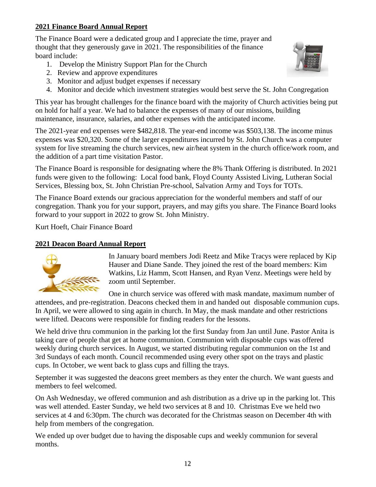## **2021 Finance Board Annual Report**

The Finance Board were a dedicated group and I appreciate the time, prayer and thought that they generously gave in 2021. The responsibilities of the finance board include:

- 1. Develop the Ministry Support Plan for the Church
- 2. Review and approve expenditures
- 3. Monitor and adjust budget expenses if necessary
- 4. Monitor and decide which investment strategies would best serve the St. John Congregation

This year has brought challenges for the finance board with the majority of Church activities being put on hold for half a year. We had to balance the expenses of many of our missions, building maintenance, insurance, salaries, and other expenses with the anticipated income.

The 2021-year end expenses were \$482,818. The year-end income was \$503,138. The income minus expenses was \$20,320. Some of the larger expenditures incurred by St. John Church was a computer system for live streaming the church services, new air/heat system in the church office/work room, and the addition of a part time visitation Pastor.

The Finance Board is responsible for designating where the 8% Thank Offering is distributed. In 2021 funds were given to the following: Local food bank, Floyd County Assisted Living, Lutheran Social Services, Blessing box, St. John Christian Pre-school, Salvation Army and Toys for TOTs.

The Finance Board extends our gracious appreciation for the wonderful members and staff of our congregation. Thank you for your support, prayers, and may gifts you share. The Finance Board looks forward to your support in 2022 to grow St. John Ministry.

Kurt Hoeft, Chair Finance Board

#### **2021 Deacon Board Annual Report**



In January board members Jodi Reetz and Mike Tracys were replaced by Kip Hauser and Diane Sande. They joined the rest of the board members: Kim Watkins, Liz Hamm, Scott Hansen, and Ryan Venz. Meetings were held by zoom until September.

One in church service was offered with mask mandate, maximum number of attendees, and pre-registration. Deacons checked them in and handed out disposable communion cups. In April, we were allowed to sing again in church. In May, the mask mandate and other restrictions were lifted. Deacons were responsible for finding readers for the lessons.

We held drive thru communion in the parking lot the first Sunday from Jan until June. Pastor Anita is taking care of people that get at home communion. Communion with disposable cups was offered weekly during church services. In August, we started distributing regular communion on the 1st and 3rd Sundays of each month. Council recommended using every other spot on the trays and plastic cups. In October, we went back to glass cups and filling the trays.

September it was suggested the deacons greet members as they enter the church. We want guests and members to feel welcomed.

On Ash Wednesday, we offered communion and ash distribution as a drive up in the parking lot. This was well attended. Easter Sunday, we held two services at 8 and 10. Christmas Eve we held two services at 4 and 6:30pm. The church was decorated for the Christmas season on December 4th with help from members of the congregation.

We ended up over budget due to having the disposable cups and weekly communion for several months.

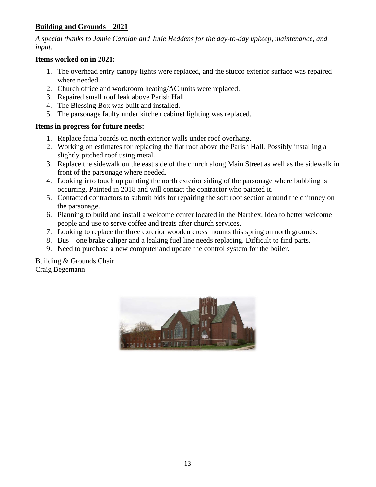### **Building and Grounds 2021**

*A special thanks to Jamie Carolan and Julie Heddens for the day-to-day upkeep, maintenance, and input.*

#### **Items worked on in 2021:**

- 1. The overhead entry canopy lights were replaced, and the stucco exterior surface was repaired where needed.
- 2. Church office and workroom heating/AC units were replaced.
- 3. Repaired small roof leak above Parish Hall.
- 4. The Blessing Box was built and installed.
- 5. The parsonage faulty under kitchen cabinet lighting was replaced.

#### **Items in progress for future needs:**

- 1. Replace facia boards on north exterior walls under roof overhang.
- 2. Working on estimates for replacing the flat roof above the Parish Hall. Possibly installing a slightly pitched roof using metal.
- 3. Replace the sidewalk on the east side of the church along Main Street as well as the sidewalk in front of the parsonage where needed.
- 4. Looking into touch up painting the north exterior siding of the parsonage where bubbling is occurring. Painted in 2018 and will contact the contractor who painted it.
- 5. Contacted contractors to submit bids for repairing the soft roof section around the chimney on the parsonage.
- 6. Planning to build and install a welcome center located in the Narthex. Idea to better welcome people and use to serve coffee and treats after church services.
- 7. Looking to replace the three exterior wooden cross mounts this spring on north grounds.
- 8. Bus one brake caliper and a leaking fuel line needs replacing. Difficult to find parts.
- 9. Need to purchase a new computer and update the control system for the boiler.

Building & Grounds Chair Craig Begemann

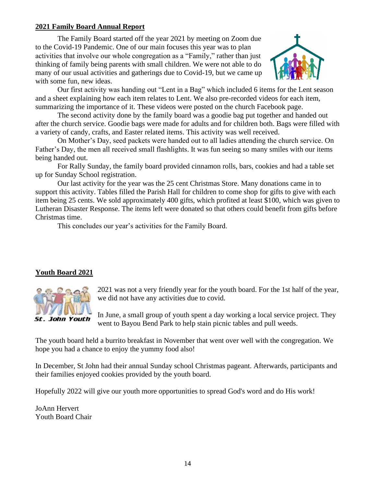#### **2021 Family Board Annual Report**

The Family Board started off the year 2021 by meeting on Zoom due to the Covid-19 Pandemic. One of our main focuses this year was to plan activities that involve our whole congregation as a "Family," rather than just thinking of family being parents with small children. We were not able to do many of our usual activities and gatherings due to Covid-19, but we came up with some fun, new ideas.



Our first activity was handing out "Lent in a Bag" which included 6 items for the Lent season and a sheet explaining how each item relates to Lent. We also pre-recorded videos for each item, summarizing the importance of it. These videos were posted on the church Facebook page.

The second activity done by the family board was a goodie bag put together and handed out after the church service. Goodie bags were made for adults and for children both. Bags were filled with a variety of candy, crafts, and Easter related items. This activity was well received.

On Mother's Day, seed packets were handed out to all ladies attending the church service. On Father's Day, the men all received small flashlights. It was fun seeing so many smiles with our items being handed out.

For Rally Sunday, the family board provided cinnamon rolls, bars, cookies and had a table set up for Sunday School registration.

Our last activity for the year was the 25 cent Christmas Store. Many donations came in to support this activity. Tables filled the Parish Hall for children to come shop for gifts to give with each item being 25 cents. We sold approximately 400 gifts, which profited at least \$100, which was given to Lutheran Disaster Response. The items left were donated so that others could benefit from gifts before Christmas time.

This concludes our year's activities for the Family Board.

## **Youth Board 2021**



2021 was not a very friendly year for the youth board. For the 1st half of the year, we did not have any activities due to covid.

In June, a small group of youth spent a day working a local service project. They went to Bayou Bend Park to help stain picnic tables and pull weeds.

The youth board held a burrito breakfast in November that went over well with the congregation. We hope you had a chance to enjoy the yummy food also!

In December, St John had their annual Sunday school Christmas pageant. Afterwards, participants and their families enjoyed cookies provided by the youth board.

Hopefully 2022 will give our youth more opportunities to spread God's word and do His work!

JoAnn Hervert Youth Board Chair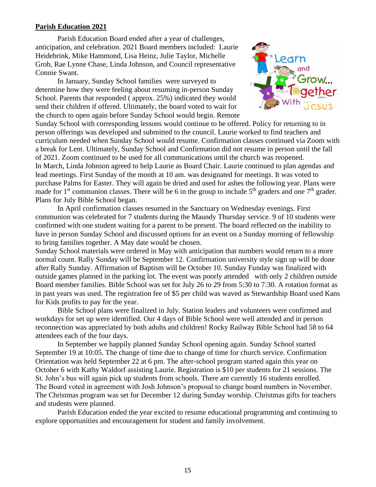#### **Parish Education 2021**

Parish Education Board ended after a year of challenges, anticipation, and celebration. 2021 Board members included: Laurie Heidebrink, Mike Hammond, Lisa Heinz, Julie Taylor, Michelle Grob, Rae Lynne Chase, Linda Johnson, and Council representative Connie Swant.

In January, Sunday School families were surveyed to determine how they were feeling about resuming in-person Sunday School. Parents that responded ( approx. 25%) indicated they would send their children if offered. Ultimately, the board voted to wait for the church to open again before Sunday School would begin. Remote



Sunday School with corresponding lessons would continue to be offered. Policy for returning to in person offerings was developed and submitted to the council. Laurie worked to find teachers and curriculum needed when Sunday School would resume. Confirmation classes continued via Zoom with a break for Lent. Ultimately, Sunday School and Confirmation did not resume in person until the fall of 2021. Zoom continued to be used for all communications until the church was reopened. In March, Linda Johnson agreed to help Laurie as Board Chair. Laurie continued to plan agendas and lead meetings. First Sunday of the month at 10 am. was designated for meetings. It was voted to purchase Palms for Easter. They will again be dried and used for ashes the following year. Plans were made for 1<sup>st</sup> communion classes. There will be 6 in the group to include  $5<sup>th</sup>$  graders and one  $7<sup>th</sup>$  grader. Plans for July Bible School began.

In April confirmation classes resumed in the Sanctuary on Wednesday evenings. First communion was celebrated for 7 students during the Maundy Thursday service. 9 of 10 students were confirmed with one student waiting for a parent to be present. The board reflected on the inability to have in person Sunday School and discussed options for an event on a Sunday morning of fellowship to bring families together. A May date would be chosen.

Sunday School materials were ordered in May with anticipation that numbers would return to a more normal count. Rally Sunday will be September 12. Confirmation university style sign up will be done after Rally Sunday. Affirmation of Baptism will be October 10. Sunday Funday was finalized with outside games planned in the parking lot. The event was poorly attended with only 2 children outside Board member families. Bible School was set for July 26 to 29 from 5:30 to 7:30. A rotation format as in past years was used. The registration fee of \$5 per child was waved as Stewardship Board used Kans for Kids profits to pay for the year.

Bible School plans were finalized in July. Station leaders and volunteers were confirmed and workdays for set up were identified. Our 4 days of Bible School were well attended and in person reconnection was appreciated by both adults and children! Rocky Railway Bible School had 58 to 64 attendees each of the four days.

In September we happily planned Sunday School opening again. Sunday School started September 19 at 10:05. The change of time due to change of time for church service. Confirmation Orientation was held September 22 at 6 pm. The after-school program started again this year on October 6 with Kathy Waldorf assisting Laurie. Registration is \$10 per students for 21 sessions. The St. John's bus will again pick up students from schools. There are currently 16 students enrolled. The Board voted in agreement with Josh Johnson's proposal to change board numbers in November. The Christmas program was set for December 12 during Sunday worship. Christmas gifts for teachers and students were planned.

Parish Education ended the year excited to resume educational programming and continuing to explore opportunities and encouragement for student and family involvement.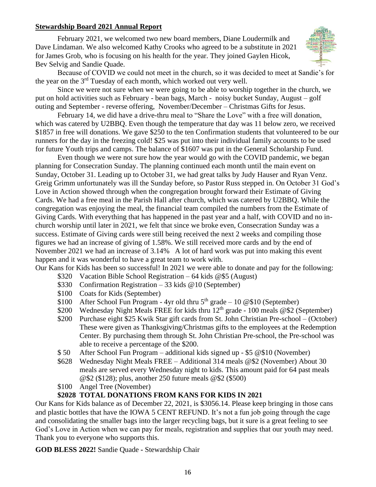#### **Stewardship Board 2021 Annual Report**

February 2021, we welcomed two new board members, Diane Loudermilk and Dave Lindaman. We also welcomed Kathy Crooks who agreed to be a substitute in 2021 for James Grob, who is focusing on his health for the year. They joined Gaylen Hicok, Bev Selvig and Sandie Quade.



Because of COVID we could not meet in the church, so it was decided to meet at Sandie's for the year on the  $3<sup>rd</sup>$  Tuesday of each month, which worked out very well.

Since we were not sure when we were going to be able to worship together in the church, we put on hold activities such as February - bean bags, March - noisy bucket Sunday, August – golf outing and September - reverse offering, November/December – Christmas Gifts for Jesus.

February 14, we did have a drive-thru meal to "Share the Love" with a free will donation, which was catered by U2BBQ. Even though the temperature that day was 11 below zero, we received \$1857 in free will donations. We gave \$250 to the ten Confirmation students that volunteered to be our runners for the day in the freezing cold! \$25 was put into their individual family accounts to be used for future Youth trips and camps. The balance of \$1607 was put in the General Scholarship Fund.

Even though we were not sure how the year would go with the COVID pandemic, we began planning for Consecration Sunday. The planning continued each month until the main event on Sunday, October 31. Leading up to October 31, we had great talks by Judy Hauser and Ryan Venz. Greig Grimm unfortunately was ill the Sunday before, so Pastor Russ stepped in. On October 31 God's Love in Action showed through when the congregation brought forward their Estimate of Giving Cards. We had a free meal in the Parish Hall after church, which was catered by U2BBQ. While the congregation was enjoying the meal, the financial team compiled the numbers from the Estimate of Giving Cards. With everything that has happened in the past year and a half, with COVID and no inchurch worship until later in 2021, we felt that since we broke even, Consecration Sunday was a success. Estimate of Giving cards were still being received the next 2 weeks and compiling those figures we had an increase of giving of 1.58%. We still received more cards and by the end of November 2021 we had an increase of 3.14% A lot of hard work was put into making this event happen and it was wonderful to have a great team to work with.

Our Kans for Kids has been so successful! In 2021 we were able to donate and pay for the following:

- \$320 Vacation Bible School Registration 64 kids @\$5 (August)
- \$330 Confirmation Registration 33 kids @10 (September)
- \$100 Coats for Kids (September)
- \$100 After School Fun Program 4yr old thru  $5<sup>th</sup>$  grade 10 @\$10 (September)
- \$200 Wednesday Night Meals FREE for kids thru  $12<sup>th</sup>$  grade 100 meals @\$2 (September)
- \$200 Purchase eight \$25 Kwik Star gift cards from St. John Christian Pre-school (October) These were given as Thanksgiving/Christmas gifts to the employees at the Redemption Center. By purchasing them through St. John Christian Pre-school, the Pre-school was able to receive a percentage of the \$200.
- \$ 50 After School Fun Program additional kids signed up \$5 @\$10 (November)
- \$628 Wednesday Night Meals FREE Additional 314 meals @\$2 (November) About 30 meals are served every Wednesday night to kids. This amount paid for 64 past meals @\$2 (\$128); plus, another 250 future meals @\$2 (\$500)
- \$100 Angel Tree (November)

#### **\$2028 TOTAL DONATIONS FROM KANS FOR KIDS IN 2021**

Our Kans for Kids balance as of December 22, 2021, is \$3056.14. Please keep bringing in those cans and plastic bottles that have the IOWA 5 CENT REFUND. It's not a fun job going through the cage and consolidating the smaller bags into the larger recycling bags, but it sure is a great feeling to see God's Love in Action when we can pay for meals, registration and supplies that our youth may need. Thank you to everyone who supports this.

**GOD BLESS 2022!** Sandie Quade **-** Stewardship Chair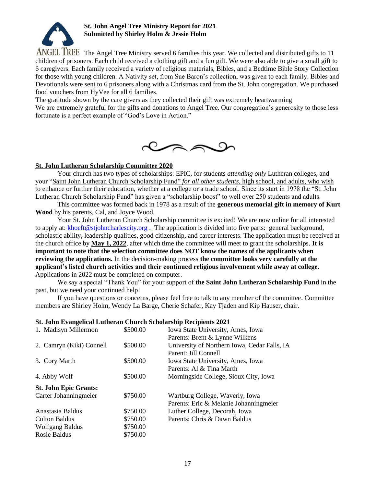

#### **St. John Angel Tree Ministry Report for 2021 Submitted by Shirley Holm & Jessie Holm**

ANGEL TREE The Angel Tree Ministry served 6 families this year. We collected and distributed gifts to 11 children of prisoners. Each child received a clothing gift and a fun gift. We were also able to give a small gift to 6 caregivers. Each family received a variety of religious materials, Bibles, and a Bedtime Bible Story Collection for those with young children. A Nativity set, from Sue Baron's collection, was given to each family. Bibles and Devotionals were sent to 6 prisoners along with a Christmas card from the St. John congregation. We purchased food vouchers from HyVee for all 6 families.

The gratitude shown by the care givers as they collected their gift was extremely heartwarming

We are extremely grateful for the gifts and donations to Angel Tree. Our congregation's generosity to those less fortunate is a perfect example of "God's Love in Action."



#### **St. John Lutheran Scholarship Committee 2020**

Your church has two types of scholarships: EPIC, for students *attending only* Lutheran colleges, and your "Saint John Lutheran Church Scholarship Fund" *for all other students,* high school, and adults, who wish to enhance or further their education, whether at a college or a trade school. Since its start in 1978 the "St. John Lutheran Church Scholarship Fund" has given a "scholarship boost" to well over 250 students and adults.

This committee was formed back in 1978 as a result of the **generous memorial gift in memory of Kurt Wood** by his parents, Cal, and Joyce Wood.

Your St. John Lutheran Church Scholarship committee is excited! We are now online for all interested to apply at: [khoeft@stjohncharlescity.org](mailto:khoeft@stjohncharlescity.org). The application is divided into five parts: general background, scholastic ability, leadership qualities, good citizenship, and career interests. The application must be received at the church office by **May 1, 2022**, after which time the committee will meet to grant the scholarships. **It is important to note that the selection committee does NOT know the names of the applicants when reviewing the applications.** In the decision-making process **the committee looks very carefully at the applicant's listed church activities and their continued religious involvement while away at college.**  Applications in 2022 must be completed on computer.

We say a special "Thank You" for your support of **the Saint John Lutheran Scholarship Fund** in the past, but we need your continued help!

If you have questions or concerns, please feel free to talk to any member of the committee. Committee members are Shirley Holm, Wendy La Barge, Cherie Schafer, Kay Tjaden and Kip Hauser, chair.

#### **St. John Evangelical Lutheran Church Scholarship Recipients 2021**

| 1. Madisyn Millermon         | \$500.00 | Iowa State University, Ames, Iowa            |
|------------------------------|----------|----------------------------------------------|
|                              |          | Parents: Brent & Lynne Wilkens               |
| 2. Camryn (Kiki) Connell     | \$500.00 | University of Northern Iowa, Cedar Falls, IA |
|                              |          | Parent: Jill Connell                         |
| 3. Cory Marth                | \$500.00 | Iowa State University, Ames, Iowa            |
|                              |          | Parents: Al & Tina Marth                     |
| 4. Abby Wolf                 | \$500.00 | Morningside College, Sioux City, Iowa        |
| <b>St. John Epic Grants:</b> |          |                                              |
| Carter Johanningmeier        | \$750.00 | Wartburg College, Waverly, Iowa              |
|                              |          | Parents: Eric & Melanie Johanningmeier       |
| Anastasia Baldus             | \$750.00 | Luther College, Decorah, Iowa                |
| <b>Colton Baldus</b>         | \$750.00 | Parents: Chris & Dawn Baldus                 |
| <b>Wolfgang Baldus</b>       | \$750.00 |                                              |
| Rosie Baldus                 | \$750.00 |                                              |
|                              |          |                                              |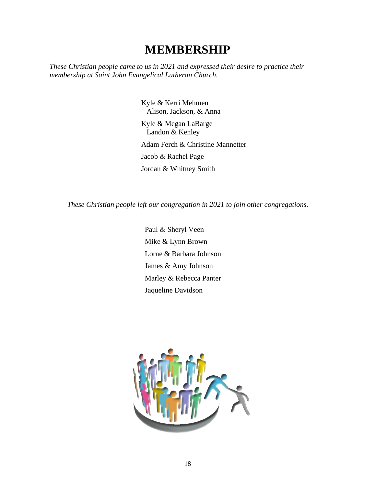# **MEMBERSHIP**

*These Christian people came to us in 2021 and expressed their desire to practice their membership at Saint John Evangelical Lutheran Church.* 

> Kyle & Kerri Mehmen Alison, Jackson, & Anna Kyle & Megan LaBarge Landon & Kenley Adam Ferch & Christine Mannetter Jacob & Rachel Page Jordan & Whitney Smith

*These Christian people left our congregation in 2021 to join other congregations.*

Paul & Sheryl Veen Mike & Lynn Brown Lorne & Barbara Johnson James & Amy Johnson Marley & Rebecca Panter Jaqueline Davidson

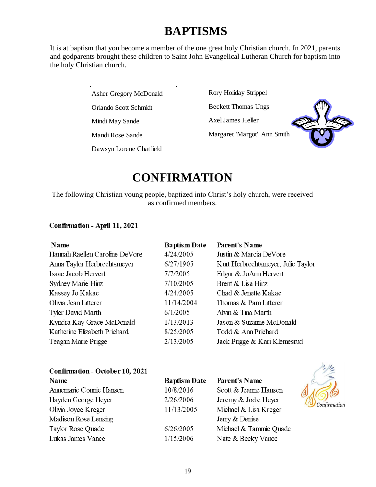# **BAPTISMS** Asher Gregory McDonald

It is at baptism that you become a member of the one great holy Christian church. In 2021, parents and godparents brought these children to Saint John Evangelical Lutheran Church for baptism into the holy Christian church.

Asher Gregory McDonald

Orlando Scott Schmidt

Mindi May Sande

Mandi Rose Sande

Dawsyn Lorene Chatfield

Rory Holiday Strippel

Beckett Thomas Ungs

Axel James Heller

Margaret 'Margot" Ann Smith



 $\frac{1}{2}$ 

# $$

The following Christian young people, baptized into Christ's holy church, were received as confirmed members.

#### Confirmation - April 11, 2021

| <b>Baptism Date</b> | <b>Parent's Name</b>               |
|---------------------|------------------------------------|
| 4/24/2005           | Justin & Marcia DeVore             |
| 6/27/1905           | Kurt Herbrechtsmeyer, Julie Taylor |
| 7/7/2005            | Edgar & JoAnn Hervert              |
| 7/10/2005           | Brent & Lisa Hinz                  |
| 4/24/2005           | Chad & Jenette Kakac               |
| 11/14/2004          | Thomas & Pam Litterer              |
| 6/1/2005            | Alvin & Tina Marth                 |
| 1/13/2013           | Jason & Suzanne McDonald           |
| 8/25/2005           | Todd & Ann Prichard                |
| 2/13/2005           | Jack Prigge & Kari Klemesrud       |
|                     |                                    |

| Confirmation - October 10, 2021 |                     |                        |              |
|---------------------------------|---------------------|------------------------|--------------|
| Name                            | <b>Baptism Date</b> | <b>Parent's Name</b>   |              |
| Annemarie Connie Hansen         | 10/8/2016           | Scott & Jeanne Hansen  |              |
| Hayden George Heyer             | 2/26/2006           | Jeremy & Jodie Heyer   | Confirmation |
| Olivia Joyce Kreger             | 11/13/2005          | Michael & Lisa Kreger  |              |
| Madison Rose Lensing            |                     | Jerry & Denise         |              |
| Taylor Rose Quade               | 6/26/2005           | Michael & Tammie Quade |              |
| Lukas James Vance               | 1/15/2006           | Nate & Becky Vance     |              |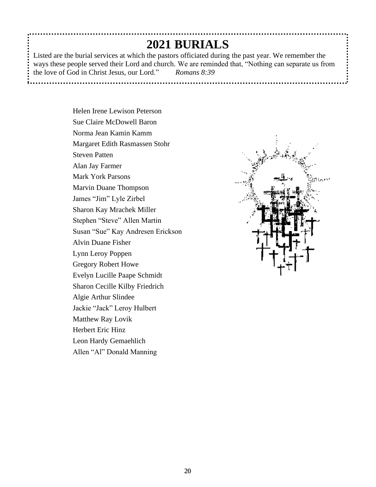# **2021 BURIALS**

Listed are the burial services at which the pastors officiated during the past year. We remember the ways these people served their Lord and church. We are reminded that, "Nothing can separate us from the love of God in Christ Jesus, our Lord." *Romans 8:39*

> Helen Irene Lewison Peterson Sue Claire McDowell Baron Norma Jean Kamin Kamm Margaret Edith Rasmassen Stohr Steven Patten Alan Jay Farmer Mark York Parsons Marvin Duane Thompson James "Jim" Lyle Zirbel Sharon Kay Mrachek Miller Stephen "Steve" Allen Martin Susan "Sue" Kay Andresen Erickson Alvin Duane Fisher Lynn Leroy Poppen Gregory Robert Howe Evelyn Lucille Paape Schmidt Sharon Cecille Kilby Friedrich Algie Arthur Slindee Jackie "Jack" Leroy Hulbert Matthew Ray Lovik Herbert Eric Hinz Leon Hardy Gemaehlich Allen "Al" Donald Manning

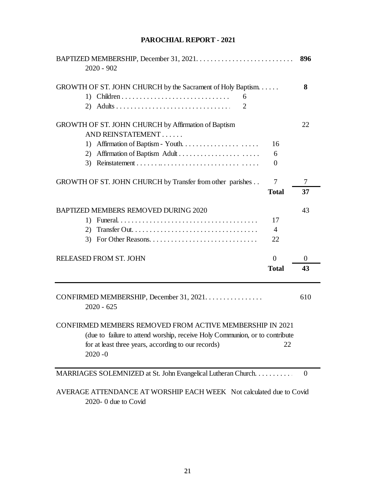# BAPTIZED MEMBERSHIP, December 31, 2021. . . . . . . . . . . . . . . . . . . . . . . . . . . . . . . . . . . **896** 2020 - 902 GROWTH OF ST. JOHN CHURCH by the Sacrament of Holy Baptism. . . . . . **8** 1) Children . . . . . . . . . . . . . . . . . . . . . . . . . . . . . . . . . . . . . 6 2) Adults . . . . . . . . . . . . . . . . . . . . . . . . . . . . . . . . . . . . . . 2 GROWTH OF ST. JOHN CHURCH by Affirmation of Baptism 22 AND REINSTATEMENT . . . . . . 1) Affirmation of Baptism - Youth. . . . . . . . . . . . . . . . . . . . . . 16 2) Affirmation of Baptism Adult . . . . . . . . . . . . . . . . . . . . . . . 6 3) Reinstatement . . . . . . .. . . . . . . . . . . . . . . . . . . . . . . . . . . . 0 GROWTH OF ST. JOHN CHURCH by Transfer from other parishes . . . . . 7 . . . . . 7 **Total 37** BAPTIZED MEMBERS REMOVED DURING 2020 43 1) Funeral. . . . . . . . . . . . . . . . . . . . . . . . . . . . . . . . . . . . . . . . 17 2) Transfer Out. . . . . . . . . . . . . . . . . . . . . . . . . . . . . . . . . . . . 4 3) For Other Reasons. . . . . . . . . . . . . . . . . . . . . . . . . . . . . . . 22 RELEASED FROM ST. JOHN 0 0 0 **Total 43** CONFIRMED MEMBERSHIP, December 31, 2021. . . . . . . . . . . . . . . . 610 2020 - 625 CONFIRMED MEMBERS REMOVED FROM ACTIVE MEMBERSHIP IN 2021 (due to failure to attend worship, receive Holy Communion, or to contribute for at least three years, according to our records) 22 2020 -0 MARRIAGES SOLEMNIZED at St. John Evangelical Lutheran Church. . . . . . . . . . . 0

#### **PAROCHIAL REPORT - 2021**

AVERAGE ATTENDANCE AT WORSHIP EACH WEEK Not calculated due to Covid 2020- 0 due to Covid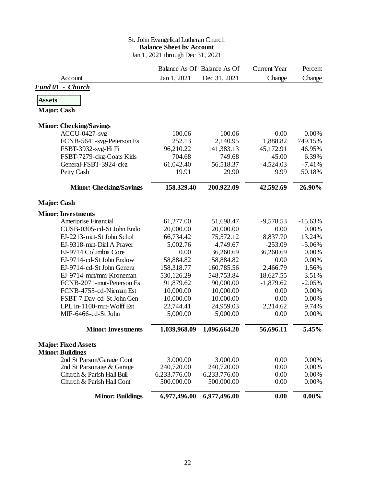#### St. John Evangelical Lutheran Church **Balance Sheet by Account** Jan 1, 2021 through Dec 31, 2021

|                                |              | Balance As Of Balance As Of | <b>Current Year</b> | Percent   |
|--------------------------------|--------------|-----------------------------|---------------------|-----------|
| Account                        | Jan 1, 2021  | Dec 31, 2021                | Change              | Change    |
| Fund 01 - Church               |              |                             |                     |           |
| <b>Assets</b>                  |              |                             |                     |           |
|                                |              |                             |                     |           |
| <b>Major: Cash</b>             |              |                             |                     |           |
| <b>Minor: Checking/Savings</b> |              |                             |                     |           |
| <b>ACCU-0427-svg</b>           | 100.06       | 100.06                      | 0.00                | 0.00%     |
| FCNB-5641-svg-Peterson Es      | 252.13       | 2,140.95                    | 1,888.82            | 749.15%   |
| FSBT-3932-svg-Hi Fi            | 96,210.22    | 141,383.13                  | 45,172.91           | 46.95%    |
| FSBT-7279-ckg-Coats Kids       | 704.68       | 749.68                      | 45.00               | 6.39%     |
| General-FSBT-3924-ckg          | 61,042.40    | 56,518.37                   | $-4,524.03$         | $-7.41%$  |
| Petty Cash                     | 19.91        | 29.90                       | 9.99                | 50.18%    |
| <b>Minor: Checking/Savings</b> | 158,329.40   | 200,922.09                  | 42,592.69           | 26.90%    |
| <b>Major: Cash</b>             |              |                             |                     |           |
| <b>Minor: Investments</b>      |              |                             |                     |           |
| Ameriprise Financial           | 61,277.00    | 51,698.47                   | $-9,578.53$         | $-15.63%$ |
| CUSB-0305-cd-St John Endo      | 20,000.00    | 20,000.00                   | 0.00                | 0.00%     |
| EJ-2213-mut-St John Schol      | 66,734.42    | 75,572.12                   | 8,837.70            | 13.24%    |
| EJ-9318-mut-Dial A Prayer      | 5,002.76     | 4,749.67                    | $-253.09$           | $-5.06%$  |
| EJ-9714 Columbia Core          | 0.00         | 36,260.69                   | 36,260.69           | 0.00%     |
| EJ-9714-cd-St John Endow       | 58,884.82    | 58,884.82                   | 0.00                | 0.00%     |
| EJ-9714-cd-St John Genera      | 158,318.77   | 160,785.56                  | 2,466.79            | 1.56%     |
| EJ-9714-mut/mm-Kroneman        | 530,126.29   | 548,753.84                  | 18,627.55           | 3.51%     |
| FCNB-2071-mut-Peterson Es      | 91,879.62    | 90,000.00                   | $-1,879.62$         | $-2.05%$  |
| FCNB-4755-cd-Nieman Est        | 10,000.00    | 10,000.00                   | 0.00                | 0.00%     |
| FSBT-7 Day-cd-St John Gen      | 10,000.00    | 10,000.00                   | 0.00                | 0.00%     |
| LPL In-1100-mut-Wolff Est      | 22,744.41    | 24,959.03                   | 2,214.62            | 9.74%     |
| MIF-6466-cd-St John            | 5,000.00     | 5,000.00                    | 0.00                | 0.00%     |
| <b>Minor: Investments</b>      | 1,039,968.09 | 1,096,664.20                | 56,696.11           | 5.45%     |
| <b>Major: Fixed Assets</b>     |              |                             |                     |           |
| <b>Minor: Buildings</b>        |              |                             |                     |           |
| 2nd St Parson/Garage Cont      | 3,000.00     | 3,000.00                    | 0.00                | 0.00%     |
| 2nd St Parsonage & Garage      | 240.720.00   | 240.720.00                  | 0.00                | 0.00%     |
| Church & Parish Hall Buil      | 6,233,776.00 | 6,233,776.00                | 0.00                | 0.00%     |
| Church & Parish Hall Cont      | 500,000.00   | 500,000.00                  | 0.00                | 0.00%     |
| <b>Minor: Buildings</b>        | 6,977,496.00 | 6,977,496.00                | 0.00                | $0.00\%$  |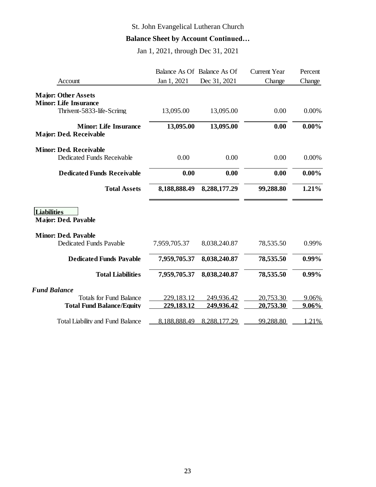# St. John Evangelical Lutheran Church

# **Balance Sheet by Account Continued…**

Jan 1, 2021, through Dec 31, 2021

|                                                       | Balance As Of Balance As Of |                   | <b>Current Year</b> | Percent  |
|-------------------------------------------------------|-----------------------------|-------------------|---------------------|----------|
| Account                                               | Jan 1, 2021                 | Dec 31, 2021      | Change              | Change   |
| <b>Major: Other Assets</b>                            |                             |                   |                     |          |
| <b>Minor: Life Insurance</b>                          |                             |                   |                     |          |
| Thrivent-5833-life-Scrimg                             | 13,095.00                   | 13,095.00         | 0.00                | 0.00%    |
| <b>Minor: Life Insurance</b>                          | 13,095.00                   | 13,095.00         | 0.00                | $0.00\%$ |
| <b>Major: Ded. Receivable</b>                         |                             |                   |                     |          |
| <b>Minor: Ded. Receivable</b>                         |                             |                   |                     |          |
| <b>Dedicated Funds Receivable</b>                     | 0.00                        | 0.00              | 0.00                | 0.00%    |
| <b>Dedicated Funds Receivable</b>                     | 0.00                        | 0.00              | 0.00                | $0.00\%$ |
| <b>Total Assets</b>                                   | 8,188,888.49                | 8,288,177.29      | 99,288.80           | 1.21%    |
| <b>Liabilities</b><br><b>Major: Ded. Payable</b>      |                             |                   |                     |          |
| <b>Minor: Ded. Payable</b><br>Dedicated Funds Payable | 7,959,705.37                | 8,038,240.87      | 78,535.50           | 0.99%    |
| <b>Dedicated Funds Pavable</b>                        | 7,959,705.37                | 8,038,240.87      | 78,535.50           | $0.99\%$ |
| <b>Total Liabilities</b>                              | 7,959,705.37                | 8,038,240.87      | 78,535.50           | $0.99\%$ |
| <b>Fund Balance</b>                                   |                             |                   |                     |          |
| <b>Totals for Fund Balance</b>                        | 229,183.12                  | 249,936.42        | 20,753.30           | 9.06%    |
| <b>Total Fund Balance/Equity</b>                      | 229,183.12                  | <u>249,936.42</u> | 20,753.30           | 9.06%    |
| <b>Total Liability and Fund Balance</b>               | 8.188.888.49                | 8.288.177.29      | 99.288.80           | .21%     |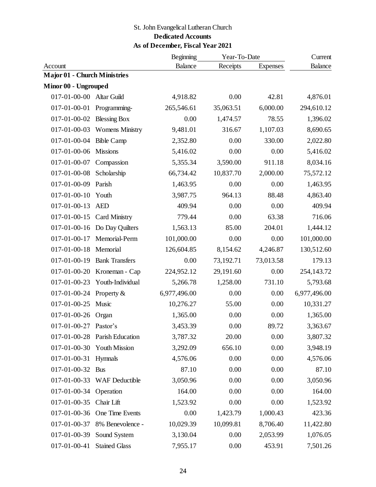## St. John Evangelical Lutheran Church

### **Dedicated Accounts**

## **As of December, Fiscal Year 2021**

|                                     | Beginning<br>Year-To-Date     |                |           | Current         |                |
|-------------------------------------|-------------------------------|----------------|-----------|-----------------|----------------|
| Account                             |                               | <b>Balance</b> | Receipts  | <b>Expenses</b> | <b>Balance</b> |
| <b>Major 01 - Church Ministries</b> |                               |                |           |                 |                |
| Minor 00 - Ungrouped                |                               |                |           |                 |                |
| 017-01-00-00 Altar Guild            |                               | 4,918.82       | 0.00      | 42.81           | 4,876.01       |
| 017-01-00-01                        | Programming-                  | 265,546.61     | 35,063.51 | 6,000.00        | 294,610.12     |
| 017-01-00-02                        | <b>Blessing Box</b>           | 0.00           | 1,474.57  | 78.55           | 1,396.02       |
|                                     | 017-01-00-03 Womens Ministry  | 9,481.01       | 316.67    | 1,107.03        | 8,690.65       |
| 017-01-00-04                        | <b>Bible Camp</b>             | 2,352.80       | 0.00      | 330.00          | 2,022.80       |
| 017-01-00-06                        | <b>Missions</b>               | 5,416.02       | 0.00      | 0.00            | 5,416.02       |
| 017-01-00-07                        | Compassion                    | 5,355.34       | 3,590.00  | 911.18          | 8,034.16       |
| 017-01-00-08                        | Scholarship                   | 66,734.42      | 10,837.70 | 2,000.00        | 75,572.12      |
| 017-01-00-09                        | Parish                        | 1,463.95       | 0.00      | 0.00            | 1,463.95       |
| $017 - 01 - 00 - 10$                | Youth                         | 3,987.75       | 964.13    | 88.48           | 4,863.40       |
| $017 - 01 - 00 - 13$                | <b>AED</b>                    | 409.94         | 0.00      | 0.00            | 409.94         |
| $017 - 01 - 00 - 15$                | <b>Card Ministry</b>          | 779.44         | 0.00      | 63.38           | 716.06         |
| $017 - 01 - 00 - 16$                | Do Day Quilters               | 1,563.13       | 85.00     | 204.01          | 1,444.12       |
| $017 - 01 - 00 - 17$                | Memorial-Perm                 | 101,000.00     | 0.00      | 0.00            | 101,000.00     |
| $017 - 01 - 00 - 18$                | Memorial                      | 126,604.85     | 8,154.62  | 4,246.87        | 130,512.60     |
| $017 - 01 - 00 - 19$                | <b>Bank Transfers</b>         | 0.00           | 73,192.71 | 73,013.58       | 179.13         |
| $017 - 01 - 00 - 20$                | Kroneman - Cap                | 224,952.12     | 29,191.60 | 0.00            | 254,143.72     |
| 017-01-00-23                        | Youth-Individual              | 5,266.78       | 1,258.00  | 731.10          | 5,793.68       |
| 017-01-00-24                        | Property $\&$                 | 6,977,496.00   | 0.00      | 0.00            | 6,977,496.00   |
| $017 - 01 - 00 - 25$                | Music                         | 10,276.27      | 55.00     | 0.00            | 10,331.27      |
| 017-01-00-26                        | Organ                         | 1,365.00       | 0.00      | 0.00            | 1,365.00       |
| 017-01-00-27                        | Pastor's                      | 3,453.39       | 0.00      | 89.72           | 3,363.67       |
|                                     | 017-01-00-28 Parish Education | 3,787.32       | 20.00     | 0.00            | 3,807.32       |
|                                     | 017-01-00-30 Youth Mission    | 3,292.09       | 656.10    | 0.00            | 3,948.19       |
| $017 - 01 - 00 - 31$                | Hymnals                       | 4,576.06       | 0.00      | 0.00            | 4,576.06       |
| 017-01-00-32 Bus                    |                               | 87.10          | 0.00      | 0.00            | 87.10          |
| 017-01-00-33                        | <b>WAF Deductible</b>         | 3,050.96       | 0.00      | 0.00            | 3,050.96       |
| 017-01-00-34                        | Operation                     | 164.00         | 0.00      | 0.00            | 164.00         |
| 017-01-00-35                        | Chair Lift                    | 1,523.92       | 0.00      | 0.00            | 1,523.92       |
| 017-01-00-36                        | One Time Events               | 0.00           | 1,423.79  | 1,000.43        | 423.36         |
| 017-01-00-37                        | 8% Benevolence -              | 10,029.39      | 10,099.81 | 8,706.40        | 11,422.80      |
| 017-01-00-39                        | Sound System                  | 3,130.04       | 0.00      | 2,053.99        | 1,076.05       |
| 017-01-00-41                        | <b>Stained Glass</b>          | 7,955.17       | 0.00      | 453.91          | 7,501.26       |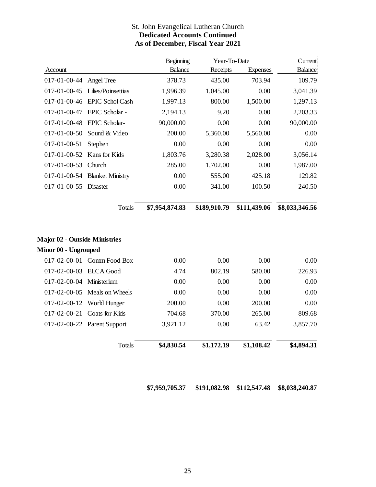#### St. John Evangelical Lutheran Church **Dedicated Accounts Continued As of December, Fiscal Year 2021**

|                          |                                      | <b>Beginning</b> | Year-To-Date |              | Current                    |
|--------------------------|--------------------------------------|------------------|--------------|--------------|----------------------------|
| Account                  |                                      | <b>Balance</b>   | Receipts     | Expenses     | <b>Balance</b>             |
| 017-01-00-44             | Angel Tree                           | 378.73           | 435.00       | 703.94       | 109.79                     |
| 017-01-00-45             | Lilies/Poinsettias                   | 1,996.39         | 1,045.00     | 0.00         | 3,041.39                   |
|                          | 017-01-00-46 EPIC Schol Cash         | 1,997.13         | 800.00       | 1,500.00     | 1,297.13                   |
|                          | 017-01-00-47 EPIC Scholar -          | 2,194.13         | 9.20         | 0.00         | 2,203.33                   |
| 017-01-00-48             | EPIC Scholar-                        | 90,000.00        | 0.00         | 0.00         | 90,000.00                  |
| $017 - 01 - 00 - 50$     | Sound & Video                        | 200.00           | 5,360.00     | 5,560.00     | 0.00                       |
| $017 - 01 - 00 - 51$     | Stephen                              | 0.00             | 0.00         | 0.00         | 0.00                       |
| 017-01-00-52             | Kans for Kids                        | 1,803.76         | 3,280.38     | 2,028.00     | 3,056.14                   |
| $017 - 01 - 00 - 53$     | Church                               | 285.00           | 1,702.00     | 0.00         | 1,987.00                   |
|                          | 017-01-00-54 Blanket Ministry        | 0.00             | 555.00       | 425.18       | 129.82                     |
| $017 - 01 - 00 - 55$     | <b>Disaster</b>                      | 0.00             | 341.00       | 100.50       | 240.50                     |
|                          | <b>Totals</b>                        | \$7,954,874.83   | \$189,910.79 | \$111,439.06 | \$8,033,346.56             |
|                          | <b>Major 02 - Outside Ministries</b> |                  |              |              |                            |
| Minor 00 - Ungrouped     |                                      |                  |              |              |                            |
|                          | 017-02-00-01 Comm Food Box           | 0.00             | 0.00         | 0.00         | 0.00                       |
| 017-02-00-03 ELCA Good   |                                      | 4.74             | 802.19       | 580.00       | 226.93                     |
|                          |                                      |                  |              | 0.00         | 0.00                       |
| 017-02-00-04 Ministerium |                                      | 0.00             | 0.00         |              |                            |
|                          | 017-02-00-05 Meals on Wheels         | 0.00             | 0.00         | 0.00         | 0.00                       |
| $017 - 02 - 00 - 12$     | World Hunger                         | 200.00           | 0.00         | 200.00       |                            |
| $017 - 02 - 00 - 21$     | Coats for Kids                       | 704.68           | 370.00       | 265.00       |                            |
|                          | 017-02-00-22 Parent Support          | 3,921.12         | 0.00         | 63.42        | 0.00<br>809.68<br>3,857.70 |

**\$191,082.98 \$112,547.48 \$8,038,240.87 \$7,959,705.37**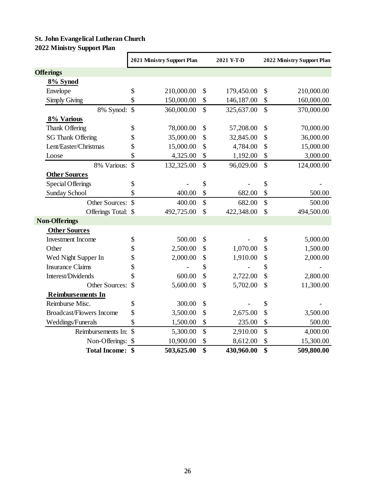# **St. John Evangelical Lutheran Church 2022 Ministry Support Plan**

|                                 | 2021 Ministry Support Plan |            | 2021 Y-T-D    |            | 2022 Ministry Support Plan |            |
|---------------------------------|----------------------------|------------|---------------|------------|----------------------------|------------|
| <b>Offerings</b>                |                            |            |               |            |                            |            |
| 8% Synod                        |                            |            |               |            |                            |            |
| Envelope                        | \$                         | 210,000.00 | \$            | 179,450.00 | \$                         | 210,000.00 |
| <b>Simply Giving</b>            | \$                         | 150,000.00 | \$            | 146,187.00 | \$                         | 160,000.00 |
| 8% Synod: \$                    |                            | 360,000.00 | \$            | 325,637.00 | \$                         | 370,000.00 |
| 8% Various                      |                            |            |               |            |                            |            |
| Thank Offering                  | \$                         | 78,000.00  | \$            | 57,208.00  | \$                         | 70,000.00  |
| <b>SG Thank Offering</b>        | \$                         | 35,000.00  | \$            | 32,845.00  | \$                         | 36,000.00  |
| Lent/Easter/Christmas           | \$                         | 15,000.00  | \$            | 4,784.00   | \$                         | 15,000.00  |
| Loose                           | \$                         | 4,325.00   | \$            | 1,192.00   | \$                         | 3,000.00   |
| 8% Various: \$                  |                            | 132,325.00 | $\mathbb{S}$  | 96,029.00  | $\overline{\$}$            | 124,000.00 |
| <b>Other Sources</b>            |                            |            |               |            |                            |            |
| <b>Special Offerings</b>        | \$                         |            | \$            |            | \$                         |            |
| <b>Sunday School</b>            | \$                         | 400.00     | \$            | 682.00     | \$                         | 500.00     |
| Other Sources: \$               |                            | 400.00     | \$            | 682.00     | \$                         | 500.00     |
| Offerings Total: \$             |                            | 492,725.00 | $\mathcal{S}$ | 422,348.00 | \$                         | 494,500.00 |
| <b>Non-Offerings</b>            |                            |            |               |            |                            |            |
| <b>Other Sources</b>            |                            |            |               |            |                            |            |
| <b>Investment Income</b>        | \$                         | 500.00     | \$            |            | \$                         | 5,000.00   |
| Other                           | \$                         | 2,500.00   | \$            | 1,070.00   | \$                         | 1,500.00   |
| Wed Night Supper In             | \$                         | 2,000.00   | \$            | 1,910.00   | \$                         | 2,000.00   |
| <b>Insurance Claims</b>         | \$                         |            | \$            |            | \$                         |            |
| Interest/Dividends              | \$                         | 600.00     | \$            | 2,722.00   | \$                         | 2,800.00   |
| Other Sources:                  | $\mathcal{S}$              | 5,600.00   | \$            | 5,702.00   | \$                         | 11,300.00  |
| <b>Reimbursements In</b>        |                            |            |               |            |                            |            |
| Reimburse Misc.                 | \$                         | 300.00     | \$            |            | \$                         |            |
| <b>Broadcast/Flowers Income</b> | \$                         | 3,500.00   | \$            | 2,675.00   | \$                         | 3,500.00   |
| Weddings/Funerals               | \$                         | 1,500.00   | \$            | 235.00     | \$                         | 500.00     |
| Reimbursements In: \$           |                            | 5,300.00   | \$            | 2,910.00   | \$                         | 4,000.00   |
| Non-Offerings: \$               |                            | 10,900.00  | \$            | 8,612.00   | \$                         | 15,300.00  |
| <b>Total Income: \$</b>         |                            | 503,625.00 | \$            | 430,960.00 | \$                         | 509,800.00 |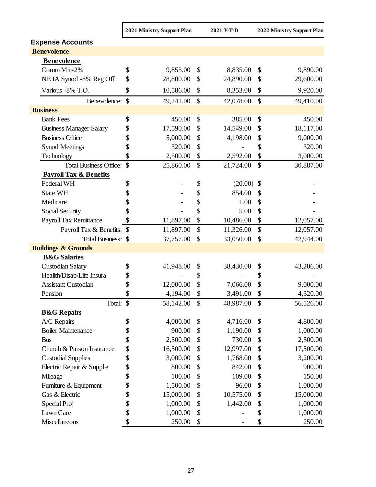|                                   | 2021 Ministry Support Plan |           |    | 2021 Y-T-D |                           | 2022 Ministry Support Plan |
|-----------------------------------|----------------------------|-----------|----|------------|---------------------------|----------------------------|
| <b>Expense Accounts</b>           |                            |           |    |            |                           |                            |
| <b>Benevolence</b>                |                            |           |    |            |                           |                            |
| <b>Benevolence</b>                |                            |           |    |            |                           |                            |
| Comm Min-2%                       | \$                         | 9,855.00  | \$ | 8,835.00   | \$                        | 9,890.00                   |
| NEIA Synod -8% Reg Off            | \$                         | 28,800.00 | \$ | 24,890.00  | \$                        | 29,600.00                  |
| Various - 8% T.O.                 | \$                         | 10,586.00 | \$ | 8,353.00   | $\boldsymbol{\mathsf{S}}$ | 9,920.00                   |
| Benevolence: \$                   |                            | 49,241.00 | \$ | 42,078.00  | \$                        | 49,410.00                  |
| <b>Business</b>                   |                            |           |    |            |                           |                            |
| <b>Bank Fees</b>                  | \$                         | 450.00    | \$ | 385.00     | \$                        | 450.00                     |
| <b>Business Manager Salary</b>    | \$                         | 17,590.00 | \$ | 14,549.00  | \$                        | 18,117.00                  |
| <b>Business Office</b>            | \$                         | 5,000.00  | \$ | 4,198.00   | \$                        | 9,000.00                   |
| <b>Synod Meetings</b>             | \$                         | 320.00    | \$ |            | \$                        | 320.00                     |
| Technology                        | \$                         | 2,500.00  | \$ | 2,592.00   | \$                        | 3,000.00                   |
| Total Business Office: \$         |                            | 25,860.00 | \$ | 21,724.00  | $\mathcal{S}$             | 30,887.00                  |
| <b>Payroll Tax &amp; Benefits</b> |                            |           |    |            |                           |                            |
| Federal WH                        | \$                         |           | \$ | (20.00)    | $\boldsymbol{\mathsf{S}}$ |                            |
| <b>State WH</b>                   | \$                         |           | \$ | 854.00     | \$                        |                            |
| Medicare                          | \$                         |           | \$ | 1.00       | $\boldsymbol{\mathsf{S}}$ |                            |
| Social Security                   | \$                         |           | \$ | 5.00       | \$                        |                            |
| Payroll Tax Remittance            | \$                         | 11,897.00 | \$ | 10,486.00  | \$                        | 12,057.00                  |
| Payroll Tax & Benefits: \$        |                            | 11,897.00 | \$ | 11,326.00  | \$                        | 12,057.00                  |
| Total Business: \$                |                            | 37,757.00 | \$ | 33,050.00  | $\boldsymbol{\mathsf{S}}$ | 42,944.00                  |
| <b>Buildings &amp; Grounds</b>    |                            |           |    |            |                           |                            |
| <b>B&amp;G</b> Salaries           |                            |           |    |            |                           |                            |
| <b>Custodian Salary</b>           | \$                         | 41,948.00 | \$ | 38,430.00  | $\boldsymbol{\mathsf{S}}$ | 43,206.00                  |
| Heallth/Disab/Life Insura         | \$                         |           | \$ |            | \$                        |                            |
| <b>Assistant Custodian</b>        | \$                         | 12,000.00 | \$ | 7,066.00   | \$                        | 9,000.00                   |
| Pension                           | \$                         | 4,194.00  | \$ | 3,491.00   | \$                        | 4,320.00                   |
| Total: \$                         |                            | 58,142.00 | \$ | 48,987.00  | \$                        | 56,526.00                  |
| <b>B&amp;G</b> Repairs            |                            |           |    |            |                           |                            |
| A/C Repairs                       | \$                         | 4,000.00  | \$ | 4,716.00   | \$                        | 4,800.00                   |
| <b>Boiler Maintenance</b>         | \$                         | 900.00    | \$ | 1,190.00   | \$                        | 1,000.00                   |
| <b>Bus</b>                        | \$                         | 2,500.00  | \$ | 730.00     | \$                        | 2,500.00                   |
| Church & Parson Insurance         | $\boldsymbol{\$}$          | 16,500.00 | \$ | 12,997.00  | \$                        | 17,500.00                  |
| <b>Custodial Supplies</b>         | $\boldsymbol{\$}$          | 3,000.00  | \$ | 1,768.00   | \$                        | 3,200.00                   |
| Electric Repair & Supplie         | \$                         | 800.00    | \$ | 842.00     | \$                        | 900.00                     |
| Mileage                           | \$                         | 100.00    | \$ | 109.00     | \$                        | 150.00                     |
| Furniture & Equipment             | \$                         | 1,500.00  | \$ | 96.00      | \$                        | 1,000.00                   |
| Gas & Electric                    | \$                         | 15,000.00 | \$ | 10,575.00  | \$                        | 15,000.00                  |
| Special Proj                      | \$                         | 1,000.00  | \$ | 1,442.00   | \$                        | 1,000.00                   |
| Lawn Care                         | \$                         | 1,000.00  | \$ |            | \$                        | 1,000.00                   |
| Miscellaneous                     | \$                         | 250.00    | \$ |            | \$                        | 250.00                     |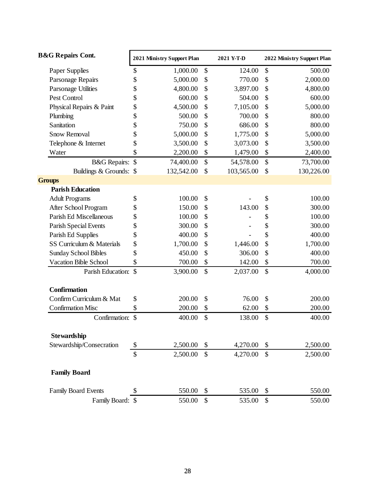| <b>B&amp;G Repairs Cont.</b> |               | 2021 Ministry Support Plan<br>2021 Y-T-D |    | 2022 Ministry Support Plan |    |            |
|------------------------------|---------------|------------------------------------------|----|----------------------------|----|------------|
| Paper Supplies               | \$            | 1,000.00                                 | \$ | 124.00                     | \$ | 500.00     |
| Parsonage Repairs            | \$            | 5,000.00                                 | \$ | 770.00                     | \$ | 2,000.00   |
| Parsonage Utilities          | \$            | 4,800.00                                 | \$ | 3,897.00                   | \$ | 4,800.00   |
| Pest Control                 | \$            | 600.00                                   | \$ | 504.00                     | \$ | 600.00     |
| Physical Repairs & Paint     | \$            | 4,500.00                                 | \$ | 7,105.00                   | \$ | 5,000.00   |
| Plumbing                     | \$            | 500.00                                   | \$ | 700.00                     | \$ | 800.00     |
| Sanitation                   | \$            | 750.00                                   | \$ | 686.00                     | \$ | 800.00     |
| <b>Snow Removal</b>          | \$            | 5,000.00                                 | \$ | 1,775.00                   | \$ | 5,000.00   |
| Telephone & Internet         | \$            | 3,500.00                                 | \$ | 3,073.00                   | \$ | 3,500.00   |
| Water                        | \$            | 2,200.00                                 | \$ | 1,479.00                   | \$ | 2,400.00   |
| <b>B&amp;G</b> Repairs: \$   |               | 74,400.00                                | \$ | 54,578.00                  | \$ | 73,700.00  |
| Buildings & Grounds: \$      |               | 132,542.00                               | \$ | 103,565.00                 | \$ | 130,226.00 |
| <b>Groups</b>                |               |                                          |    |                            |    |            |
| <b>Parish Education</b>      |               |                                          |    |                            |    |            |
| <b>Adult Programs</b>        | \$            | 100.00                                   | \$ |                            | \$ | 100.00     |
| After School Program         | \$            | 150.00                                   | \$ | 143.00                     | \$ | 300.00     |
| Parish Ed Miscellaneous      | \$            | 100.00                                   | \$ |                            | \$ | 100.00     |
| Parish Special Events        | \$            | 300.00                                   | \$ |                            | \$ | 300.00     |
| Parish Ed Supplies           | \$            | 400.00                                   | \$ |                            | \$ | 400.00     |
| SS Curriculum & Materials    | \$            | 1,700.00                                 | \$ | 1,446.00                   | \$ | 1,700.00   |
| <b>Sunday School Bibles</b>  | \$            | 450.00                                   | \$ | 306.00                     | \$ | 400.00     |
| <b>Vacation Bible School</b> | \$            | 700.00                                   | \$ | 142.00                     | \$ | 700.00     |
| Parish Education:            | $\mathcal{S}$ | 3,900.00                                 | \$ | 2,037.00                   | \$ | 4,000.00   |
| <b>Confirmation</b>          |               |                                          |    |                            |    |            |
| Confirm Curriculum & Mat     | \$            | 200.00                                   | \$ | 76.00                      | \$ | 200.00     |
| <b>Confirmation Misc</b>     | \$            | 200.00                                   | \$ | 62.00                      | \$ | 200.00     |
| Confirmation:                | $\mathcal{S}$ | 400.00                                   | \$ | 138.00                     | \$ | 400.00     |
| <b>Stewardship</b>           |               |                                          |    |                            |    |            |
| Stewardship/Consecration     | \$            | 2,500.00                                 | \$ | 4,270.00                   | \$ | 2,500.00   |
|                              | \$            | 2,500.00                                 | \$ | 4,270.00                   | \$ | 2,500.00   |
| <b>Family Board</b>          |               |                                          |    |                            |    |            |
| <b>Family Board Events</b>   | S             | 550.00                                   | \$ | 535.00                     | \$ | 550.00     |
| Family Board: \$             |               | 550.00                                   | \$ | 535.00                     | \$ | 550.00     |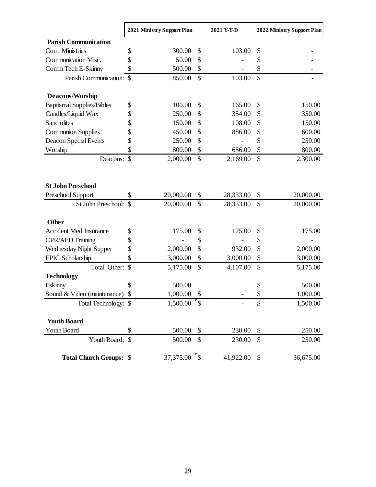|                                  | 2021 Ministry Support Plan |              | 2021 Y-T-D |               | 2022 Ministry Support Plan |  |
|----------------------------------|----------------------------|--------------|------------|---------------|----------------------------|--|
| <b>Parish Communication</b>      |                            |              |            |               |                            |  |
| Com. Ministries                  | \$<br>300.00               | \$           | 103.00     | \$            |                            |  |
| Communication Misc.              | 50.00<br>\$                | \$           |            | \$            |                            |  |
| Comm Tech E-Skinny               | \$<br>500.00               | \$           |            | \$            |                            |  |
| Parish Communication: \$         | 850.00                     | $\mathbb{S}$ | 103.00     | \$            |                            |  |
| Deacons/Worship                  |                            |              |            |               |                            |  |
| <b>Baptismal Supplies/Bibles</b> | \$<br>100.00               | \$           | 165.00     | \$            | 150.00                     |  |
| Candles/Liquid Wax               | \$<br>250.00               | \$           | 354.00     | \$            | 350.00                     |  |
| Sanctolites                      | \$<br>150.00               | \$           | 108.00     | \$            | 150.00                     |  |
| <b>Communion Supplies</b>        | \$<br>450.00               | \$           | 886.00     | \$            | 600.00                     |  |
| Deacon Special Events            | \$<br>250.00               | \$           |            | \$            | 250.00                     |  |
| Worship                          | \$<br>800.00               | \$           | 656.00     | \$            | 800.00                     |  |
| Deacons:                         | $\mathcal{S}$<br>2,000.00  | \$           | 2,169.00   | \$            | 2,300.00                   |  |
|                                  |                            |              |            |               |                            |  |
| <b>St John Preschool</b>         |                            |              |            |               |                            |  |
| Preschool Support                | 20,000.00<br>\$            | \$           | 28,333.00  | \$            | 20,000.00                  |  |
| St John Preschool:               | 20,000.00                  | $\mathbb{S}$ | 28,333.00  | $\mathcal{S}$ | 20,000.00                  |  |
| <b>Other</b>                     |                            |              |            |               |                            |  |
| <b>Accident Med Insurance</b>    | \$<br>175.00               | \$           | 175.00     | \$            | 175.00                     |  |
| <b>CPR/AED Training</b>          | \$                         | \$           |            | \$            |                            |  |
| <b>Wednesday Night Supper</b>    | \$<br>2,000.00             | \$           | 932.00     | \$            | 2,000.00                   |  |
| <b>EPIC</b> Scholarship          | \$<br>3,000.00             | \$           | 3,000.00   | \$            | 3,000.00                   |  |
| Total Other:                     | \$<br>5,175.00             | \$           | 4,107.00   | \$            | 5,175.00                   |  |
| <b>Technology</b>                |                            |              |            |               |                            |  |
| Eskinny                          | \$<br>500.00               |              |            | \$            | 500.00                     |  |
| Sound & Video (maintenance)      | \$<br>1,000.00             | \$           |            | \$            | 1,000.00                   |  |
| Total Technology: \$             |                            |              |            | \$            | 1,500.00                   |  |
| <b>Youth Board</b>               |                            |              |            |               |                            |  |
| Youth Board                      | \$<br>500.00               | \$           | 230.00     | \$            | 250.00                     |  |
| Youth Board:                     | $\mathcal{S}$<br>500.00    | \$           | 230.00     | \$            | 250.00                     |  |
| <b>Total Church Groups: \$</b>   | 37,375.00 \$               |              | 41,922.00  | \$            | 36,675.00                  |  |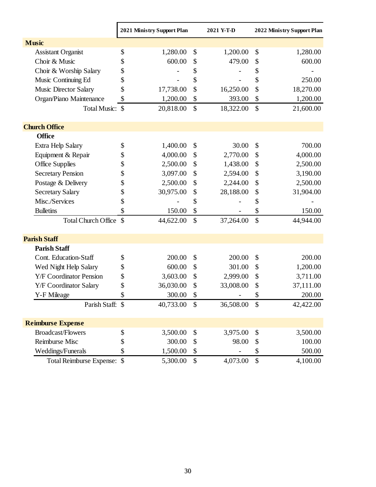|                                | 2021 Ministry Support Plan |           |               | 2021 Y-T-D |                            | 2022 Ministry Support Plan |
|--------------------------------|----------------------------|-----------|---------------|------------|----------------------------|----------------------------|
| <b>Music</b>                   |                            |           |               |            |                            |                            |
| <b>Assistant Organist</b>      | \$                         | 1,280.00  | \$            | 1,200.00   | \$                         | 1,280.00                   |
| Choir & Music                  | \$                         | 600.00    | \$            | 479.00     | \$                         | 600.00                     |
| Choir & Worship Salary         | \$                         |           | \$            |            | \$                         |                            |
| Music Continuing Ed            | \$                         |           | \$            |            | \$                         | 250.00                     |
| <b>Music Director Salary</b>   | \$                         | 17,738.00 | \$            | 16,250.00  | \$                         | 18,270.00                  |
| Organ/Piano Maintenance        | \$                         | 1,200.00  | \$            | 393.00     | \$                         | 1,200.00                   |
| Total Music: \$                |                            | 20,818.00 | $\mathcal{S}$ | 18,322.00  | $\mathcal{S}$              | 21,600.00                  |
| <b>Church Office</b>           |                            |           |               |            |                            |                            |
| <b>Office</b>                  |                            |           |               |            |                            |                            |
| Extra Help Salary              | \$                         | 1,400.00  | \$            | 30.00      | \$                         | 700.00                     |
| Equipment & Repair             | \$                         | 4,000.00  | \$            | 2,770.00   | \$                         | 4,000.00                   |
| Office Supplies                | \$                         | 2,500.00  | \$            | 1,438.00   | \$                         | 2,500.00                   |
| <b>Secretary Pension</b>       | \$                         | 3,097.00  | \$            | 2,594.00   | \$                         | 3,190.00                   |
| Postage & Delivery             | \$                         | 2,500.00  | \$            | 2,244.00   | \$                         | 2,500.00                   |
| <b>Secretary Salary</b>        | \$                         | 30,975.00 | \$            | 28,188.00  | \$                         | 31,904.00                  |
| Misc./Services                 | \$                         |           | \$            |            | \$                         |                            |
| <b>Bulletins</b>               | \$                         | 150.00    | \$            |            | \$                         | 150.00                     |
| <b>Total Church Office</b>     | $\mathcal{S}$              | 44,622.00 | \$            | 37,264.00  | $\mathcal{S}$              | 44,944.00                  |
| <b>Parish Staff</b>            |                            |           |               |            |                            |                            |
| <b>Parish Staff</b>            |                            |           |               |            |                            |                            |
| Cont. Education-Staff          | \$                         | 200.00    | \$            | 200.00     | \$                         | 200.00                     |
| Wed Night Help Salary          | \$                         | 600.00    | \$            | 301.00     | \$                         | 1,200.00                   |
| <b>Y/F Coordinator Pension</b> | \$                         | 3,603.00  | \$            | 2,999.00   | \$                         | 3,711.00                   |
| Y/F Coordinator Salary         | \$                         | 36,030.00 | \$            | 33,008.00  | \$                         | 37,111.00                  |
| Y-F Mileage                    | \$                         | 300.00    | \$            |            | \$                         | 200.00                     |
| Parish Staff: \$               |                            | 40,733.00 | \$            | 36,508.00  | $\boldsymbol{\mathsf{S}}$  | 42,422.00                  |
| <b>Reimburse Expense</b>       |                            |           |               |            |                            |                            |
| <b>Broadcast/Flowers</b>       | \$                         | 3,500.00  | \$            | 3,975.00   | \$                         | 3,500.00                   |
| Reimburse Misc                 | \$                         | 300.00    | \$            | 98.00      | \$                         | 100.00                     |
| Weddings/Funerals              | \$                         | 1,500.00  | \$            |            | \$                         | 500.00                     |
| Total Reimburse Expense: \$    |                            | 5,300.00  | \$            | 4,073.00   | $\boldsymbol{\mathsf{\$}}$ | 4,100.00                   |

 $\mathbf{r}$